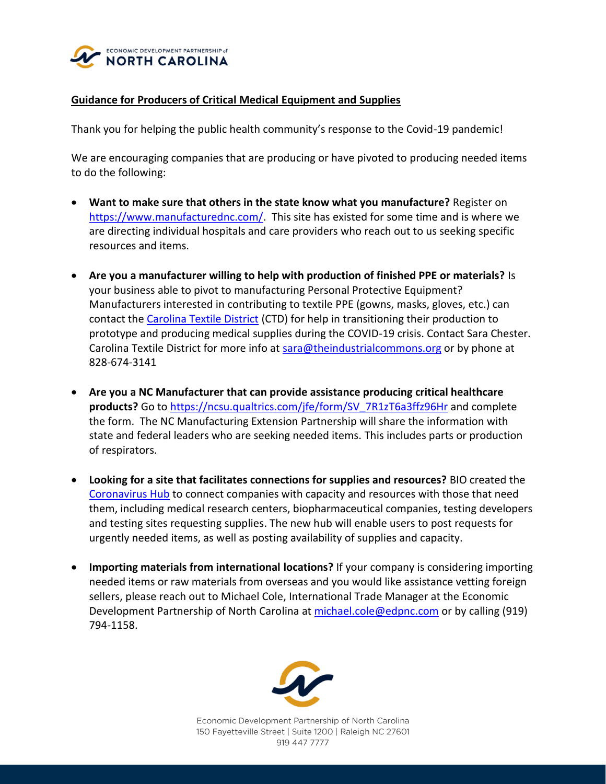

## **Guidance for Producers of Critical Medical Equipment and Supplies**

Thank you for helping the public health community's response to the Covid-19 pandemic!

We are encouraging companies that are producing or have pivoted to producing needed items to do the following:

- **Want to make sure that others in the state know what you manufacture?** Register on [https://www.manufacturednc.com/.](https://www.manufacturednc.com/) This site has existed for some time and is where we are directing individual hospitals and care providers who reach out to us seeking specific resources and items.
- **Are you a manufacturer willing to help with production of finished PPE or materials?** Is your business able to pivot to manufacturing Personal Protective Equipment? Manufacturers interested in contributing to textile PPE (gowns, masks, gloves, etc.) can contact the [Carolina Textile District](https://www.carolinatextiledistrict.com/covid19-response) (CTD) for help in transitioning their production to prototype and producing medical supplies during the COVID-19 crisis. Contact Sara Chester. Carolina Textile District for more info at [sara@theindustrialcommons.org](mailto:sara@theindustrialcommons.org) or by phone at 828-674-3141
- **Are you a NC Manufacturer that can provide assistance producing critical healthcare products?** Go to [https://ncsu.qualtrics.com/jfe/form/SV\\_7R1zT6a3ffz96Hr](https://ncsu.qualtrics.com/jfe/form/SV_7R1zT6a3ffz96Hr) and complete the form. The NC Manufacturing Extension Partnership will share the information with state and federal leaders who are seeking needed items. This includes parts or production of respirators.
- **Looking for a site that facilitates connections for supplies and resources?** BIO created the [Coronavirus Hub](https://hub.bio.org/landing-page/community-home?mkt_tok=eyJpIjoiTXpRM05qSTNOakEyT0dJMyIsInQiOiJROW45V09ocENaS0dLUVZDTU1ZZWxZSGFtRkZLMU84TklpOGxtXC9ISUJUbkg3UTRBTldrMlwvVzBIMUd6OVJwQllcL3RyTG1sdndXaEdldUJvdFJKUnNJRUN4RGs4UlZrNzJLVUtSYkFzSHdMZUJDbGtnbm94aSt4WWRBNzJJcUdKQyJ9) to connect companies with capacity and resources with those that need them, including medical research centers, biopharmaceutical companies, testing developers and testing sites requesting supplies. The new hub will enable users to post requests for urgently needed items, as well as posting availability of supplies and capacity.
- **Importing materials from international locations?** If your company is considering importing needed items or raw materials from overseas and you would like assistance vetting foreign sellers, please reach out to Michael Cole, International Trade Manager at the Economic Development Partnership of North Carolina at [michael.cole@edpnc.com](mailto:michael.cole@edpnc.com) or by calling (919) 794-1158.



Economic Development Partnership of North Carolina 150 Fayetteville Street | Suite 1200 | Raleigh NC 27601 919 447 7777